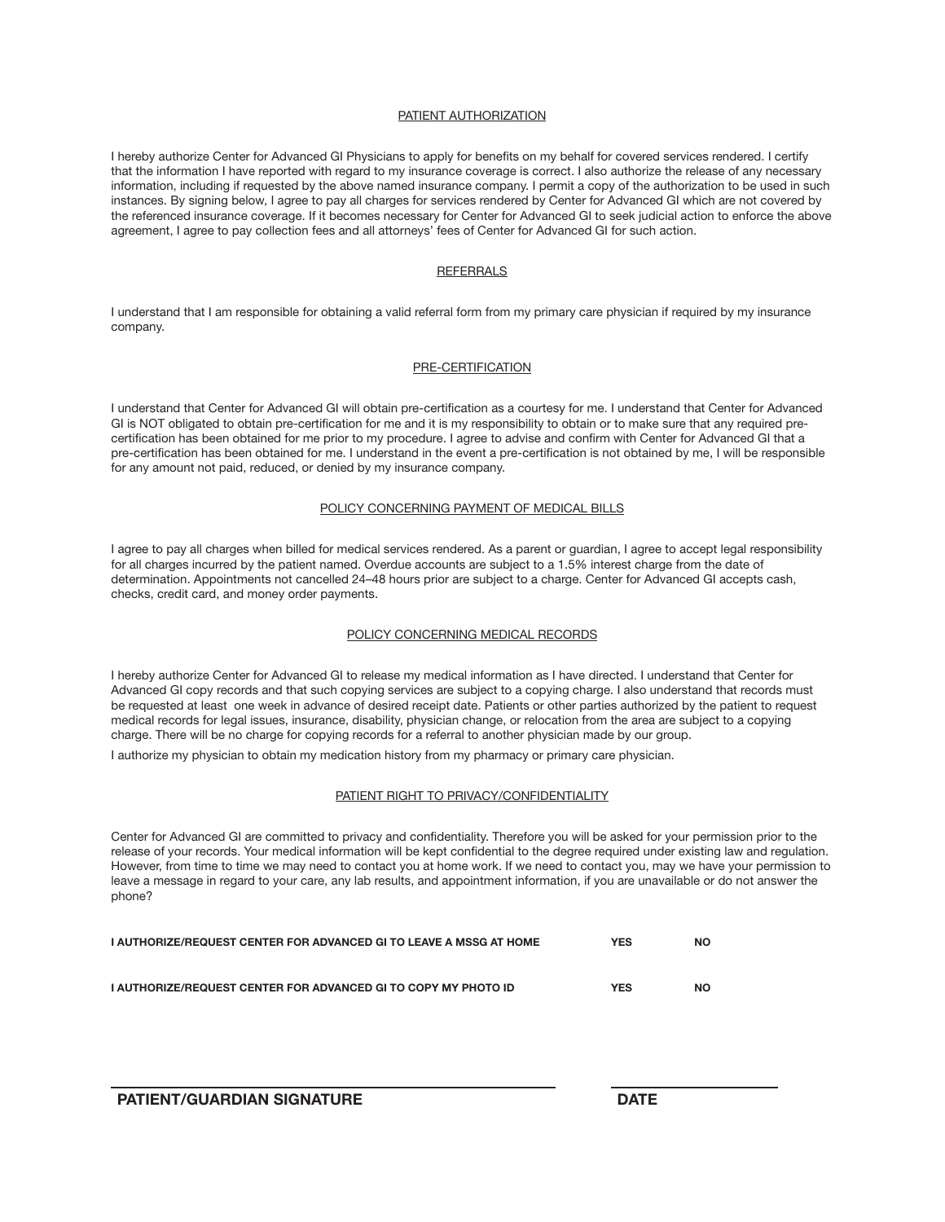#### PATIENT AUTHORIZATION

I hereby authorize Center for Advanced GI Physicians to apply for benefits on my behalf for covered services rendered. I certify that the information I have reported with regard to my insurance coverage is correct. I also authorize the release of any necessary information, including if requested by the above named insurance company. I permit a copy of the authorization to be used in such instances. By signing below, I agree to pay all charges for services rendered by Center for Advanced GI which are not covered by the referenced insurance coverage. If it becomes necessary for Center for Advanced GI to seek judicial action to enforce the above agreement, I agree to pay collection fees and all attorneys' fees of Center for Advanced GI for such action.

## **REFERRALS**

I understand that I am responsible for obtaining a valid referral form from my primary care physician if required by my insurance company.

#### PRE-CERTIFICATION

I understand that Center for Advanced GI will obtain pre-certification as a courtesy for me. I understand that Center for Advanced GI is NOT obligated to obtain pre-certification for me and it is my responsibility to obtain or to make sure that any required precertification has been obtained for me prior to my procedure. I agree to advise and confirm with Center for Advanced GI that a pre-certification has been obtained for me. I understand in the event a pre-certification is not obtained by me, I will be responsible for any amount not paid, reduced, or denied by my insurance company.

## Policy Concerning Payment of Medical Bills

I agree to pay all charges when billed for medical services rendered. As a parent or guardian, I agree to accept legal responsibility for all charges incurred by the patient named. Overdue accounts are subject to a 1.5% interest charge from the date of determination. Appointments not cancelled 24–48 hours prior are subject to a charge. Center for Advanced GI accepts cash, checks, credit card, and money order payments.

## Policy Concerning Medical Records

I hereby authorize Center for Advanced GI to release my medical information as I have directed. I understand that Center for Advanced GI copy records and that such copying services are subject to a copying charge. I also understand that records must be requested at least one week in advance of desired receipt date. Patients or other parties authorized by the patient to request medical records for legal issues, insurance, disability, physician change, or relocation from the area are subject to a copying charge. There will be no charge for copying records for a referral to another physician made by our group.

I authorize my physician to obtain my medication history from my pharmacy or primary care physician.

#### Patient Right to Privacy/Confidentiality

Center for Advanced GI are committed to privacy and confidentiality. Therefore you will be asked for your permission prior to the release of your records. Your medical information will be kept confidential to the degree required under existing law and regulation. However, from time to time we may need to contact you at home work. If we need to contact you, may we have your permission to leave a message in regard to your care, any lab results, and appointment information, if you are unavailable or do not answer the phone?

| I AUTHORIZE/REQUEST CENTER FOR ADVANCED GI TO LEAVE A MSSG AT HOME | YES        | <b>NO</b> |
|--------------------------------------------------------------------|------------|-----------|
|                                                                    |            |           |
| I AUTHORIZE/REQUEST CENTER FOR ADVANCED GI TO COPY MY PHOTO ID     | <b>YES</b> | NC        |